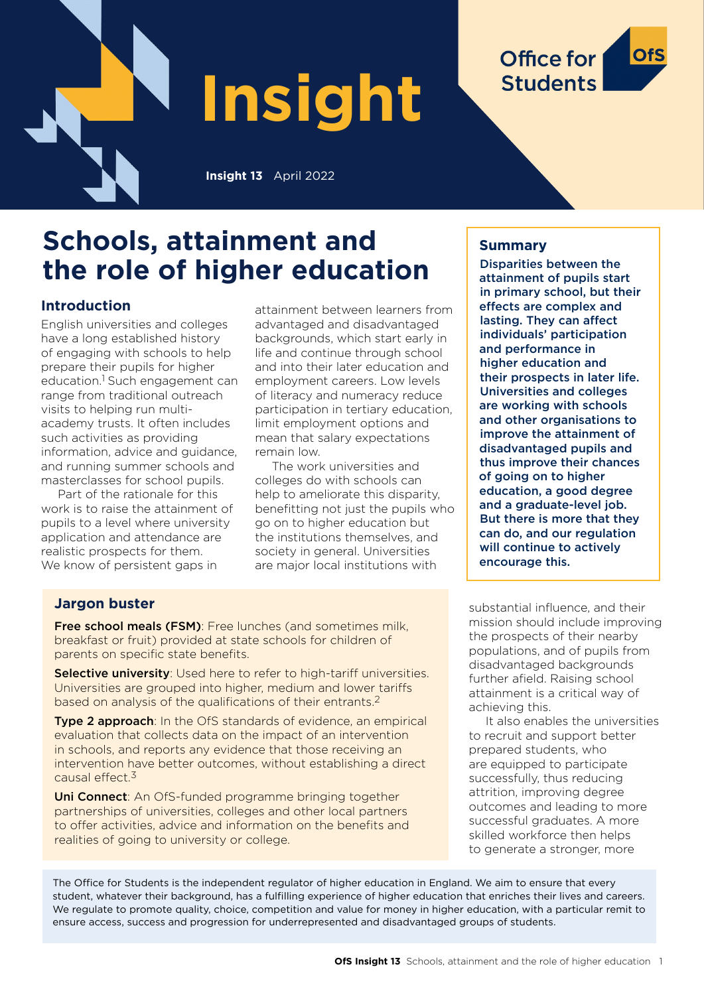

# **Schools, attainment and the role of higher education**

## **Introduction**

English universities and colleges have a long established history of engaging with schools to help prepare their pupils for higher education.<sup>1</sup> Such engagement can range from traditional outreach visits to helping run multiacademy trusts. It often includes such activities as providing information, advice and guidance, and running summer schools and masterclasses for school pupils.

Part of the rationale for this work is to raise the attainment of pupils to a level where university application and attendance are realistic prospects for them. We know of persistent gaps in

attainment between learners from advantaged and disadvantaged backgrounds, which start early in life and continue through school and into their later education and employment careers. Low levels of literacy and numeracy reduce participation in tertiary education, limit employment options and mean that salary expectations remain low.

The work universities and colleges do with schools can help to ameliorate this disparity, benefitting not just the pupils who go on to higher education but the institutions themselves, and society in general. Universities are major local institutions with

## **Summary**

**Office for** 

**Students** 

Disparities between the attainment of pupils start in primary school, but their effects are complex and lasting. They can affect individuals' participation and performance in higher education and their prospects in later life. Universities and colleges are working with schools and other organisations to improve the attainment of disadvantaged pupils and thus improve their chances of going on to higher education, a good degree and a graduate-level job. But there is more that they can do, and our regulation will continue to actively encourage this.

## **Jargon buster**

Free school meals (FSM): Free lunches (and sometimes milk, breakfast or fruit) provided at state schools for children of parents on specific state benefits.

Selective university: Used here to refer to high-tariff universities. Universities are grouped into higher, medium and lower tariffs based on analysis of the qualifications of their entrants.2

Type 2 approach: In the OfS standards of evidence, an empirical evaluation that collects data on the impact of an intervention in schools, and reports any evidence that those receiving an intervention have better outcomes, without establishing a direct causal effect.3

Uni Connect: An OfS-funded programme bringing together partnerships of universities, colleges and other local partners to offer activities, advice and information on the benefits and realities of going to university or college.

substantial influence, and their mission should include improving the prospects of their nearby populations, and of pupils from disadvantaged backgrounds further afield. Raising school attainment is a critical way of achieving this.

It also enables the universities to recruit and support better prepared students, who are equipped to participate successfully, thus reducing attrition, improving degree outcomes and leading to more successful graduates. A more skilled workforce then helps to generate a stronger, more

The Office for Students is the independent regulator of higher education in England. We aim to ensure that every student, whatever their background, has a fulfilling experience of higher education that enriches their lives and careers. We regulate to promote quality, choice, competition and value for money in higher education, with a particular remit to ensure access, success and progression for underrepresented and disadvantaged groups of students.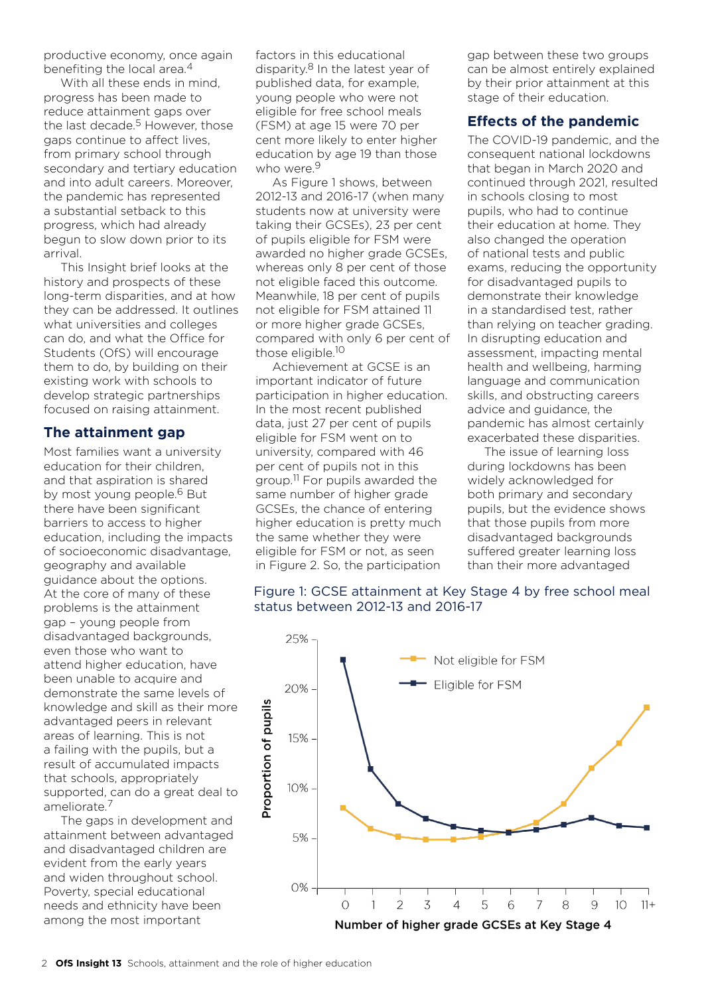productive economy, once again benefiting the local area.4

With all these ends in mind, progress has been made to reduce attainment gaps over the last decade. $5$  However, those gaps continue to affect lives, from primary school through secondary and tertiary education and into adult careers. Moreover, the pandemic has represented a substantial setback to this progress, which had already begun to slow down prior to its arrival.

This Insight brief looks at the history and prospects of these long-term disparities, and at how they can be addressed. It outlines what universities and colleges can do, and what the Office for Students (OfS) will encourage them to do, by building on their existing work with schools to develop strategic partnerships focused on raising attainment.

## **The attainment gap**

Most families want a university education for their children, and that aspiration is shared by most young people.<sup>6</sup> But there have been significant barriers to access to higher education, including the impacts of socioeconomic disadvantage, geography and available guidance about the options. At the core of many of these problems is the attainment gap – young people from disadvantaged backgrounds, even those who want to attend higher education, have been unable to acquire and demonstrate the same levels of knowledge and skill as their more advantaged peers in relevant areas of learning. This is not a failing with the pupils, but a result of accumulated impacts that schools, appropriately supported, can do a great deal to ameliorate.7

The gaps in development and attainment between advantaged and disadvantaged children are evident from the early years and widen throughout school. Poverty, special educational needs and ethnicity have been among the most important

factors in this educational disparity.<sup>8</sup> In the latest year of published data, for example, young people who were not eligible for free school meals (FSM) at age 15 were 70 per cent more likely to enter higher education by age 19 than those who were.<sup>9</sup>

As Figure 1 shows, between 2012-13 and 2016-17 (when many students now at university were taking their GCSEs), 23 per cent of pupils eligible for FSM were awarded no higher grade GCSEs, whereas only 8 per cent of those not eligible faced this outcome. Meanwhile, 18 per cent of pupils not eligible for FSM attained 11 or more higher grade GCSEs, compared with only 6 per cent of those eligible.10

Achievement at GCSE is an important indicator of future participation in higher education. In the most recent published data, just 27 per cent of pupils eligible for FSM went on to university, compared with 46 per cent of pupils not in this group.11 For pupils awarded the same number of higher grade GCSEs, the chance of entering higher education is pretty much the same whether they were eligible for FSM or not, as seen in Figure 2. So, the participation

gap between these two groups can be almost entirely explained by their prior attainment at this stage of their education.

## **Effects of the pandemic**

The COVID-19 pandemic, and the consequent national lockdowns that began in March 2020 and continued through 2021, resulted in schools closing to most pupils, who had to continue their education at home. They also changed the operation of national tests and public exams, reducing the opportunity for disadvantaged pupils to demonstrate their knowledge in a standardised test, rather than relying on teacher grading. In disrupting education and assessment, impacting mental health and wellbeing, harming language and communication skills, and obstructing careers advice and guidance, the pandemic has almost certainly exacerbated these disparities.

The issue of learning loss during lockdowns has been widely acknowledged for both primary and secondary pupils, but the evidence shows that those pupils from more disadvantaged backgrounds suffered greater learning loss than their more advantaged

## Figure 1: GCSE attainment at Key Stage 4 by free school meal status between 2012-13 and 2016-17

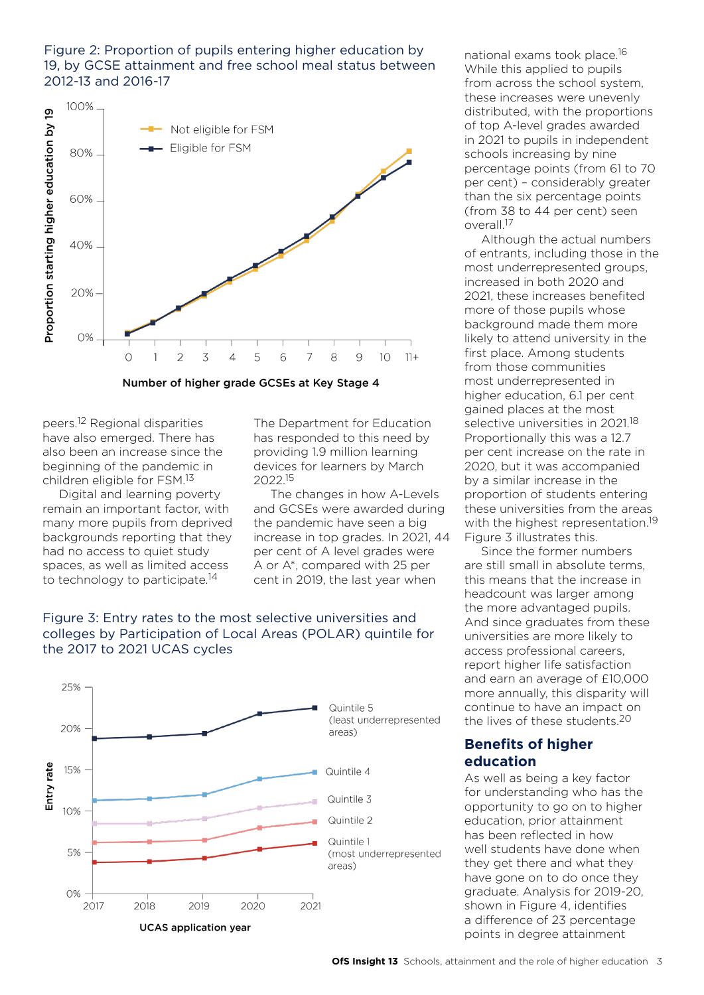#### Figure 2: Proportion of pupils entering higher education by 19, by GCSE attainment and free school meal status between 2012-13 and 2016-17



peers.12 Regional disparities have also emerged. There has also been an increase since the beginning of the pandemic in children eligible for FSM.13

Digital and learning poverty remain an important factor, with many more pupils from deprived backgrounds reporting that they had no access to quiet study spaces, as well as limited access to technology to participate.<sup>14</sup>

The Department for Education has responded to this need by providing 1.9 million learning devices for learners by March 2022.15

The changes in how A-Levels and GCSEs were awarded during the pandemic have seen a big increase in top grades. In 2021, 44 per cent of A level grades were A or A\*, compared with 25 per cent in 2019, the last year when

#### Figure 3: Entry rates to the most selective universities and colleges by Participation of Local Areas (POLAR) quintile for the 2017 to 2021 UCAS cycles



national exams took place.16 While this applied to pupils from across the school system, these increases were unevenly distributed, with the proportions of top A-level grades awarded in 2021 to pupils in independent schools increasing by nine percentage points (from 61 to 70 per cent) – considerably greater than the six percentage points (from 38 to 44 per cent) seen overall.17

Although the actual numbers of entrants, including those in the most underrepresented groups, increased in both 2020 and 2021, these increases benefited more of those pupils whose background made them more likely to attend university in the first place. Among students from those communities most underrepresented in higher education, 6.1 per cent gained places at the most selective universities in 2021.<sup>18</sup> Proportionally this was a 12.7 per cent increase on the rate in 2020, but it was accompanied by a similar increase in the proportion of students entering these universities from the areas with the highest representation.<sup>19</sup> Figure 3 illustrates this.

Since the former numbers are still small in absolute terms, this means that the increase in headcount was larger among the more advantaged pupils. And since graduates from these universities are more likely to access professional careers, report higher life satisfaction and earn an average of £10,000 more annually, this disparity will continue to have an impact on the lives of these students.20

## **Benefits of higher education**

As well as being a key factor for understanding who has the opportunity to go on to higher education, prior attainment has been reflected in how well students have done when they get there and what they have gone on to do once they graduate. Analysis for 2019-20, shown in Figure 4, identifies a difference of 23 percentage points in degree attainment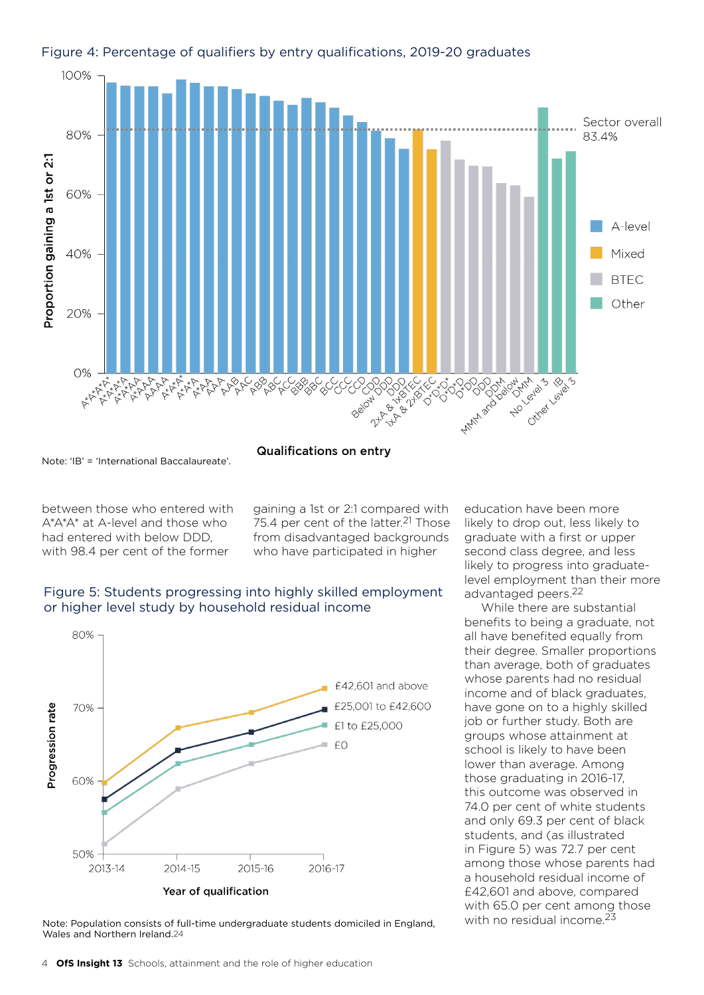

#### Figure 4: Percentage of qualifiers by entry qualifications, 2019-20 graduates

Note: 'IB' = 'International Baccalaureate'.

**Qualifications on entry** 

between those who entered with A\*A\*A\* at A-level and those who had entered with below DDD, with 98.4 per cent of the former

gaining a 1st or 2:1 compared with 75.4 per cent of the latter.<sup>21</sup> Those from disadvantaged backgrounds who have participated in higher

## Figure 5: Students progressing into highly skilled employment or higher level study by household residual income



Note: Population consists of full-time undergraduate students domiciled in England, Wales and Northern Ireland.24

education have been more likely to drop out, less likely to graduate with a first or upper second class degree, and less likely to progress into graduatelevel employment than their more advantaged peers.22

While there are substantial benefits to being a graduate, not all have benefited equally from their degree. Smaller proportions than average, both of graduates whose parents had no residual income and of black graduates, have gone on to a highly skilled job or further study. Both are groups whose attainment at school is likely to have been lower than average. Among those graduating in 2016-17, this outcome was observed in 74.0 per cent of white students and only 69.3 per cent of black students, and (as illustrated in Figure 5) was 72.7 per cent among those whose parents had a household residual income of £42,601 and above, compared with 65.0 per cent among those with no residual income.<sup>23</sup>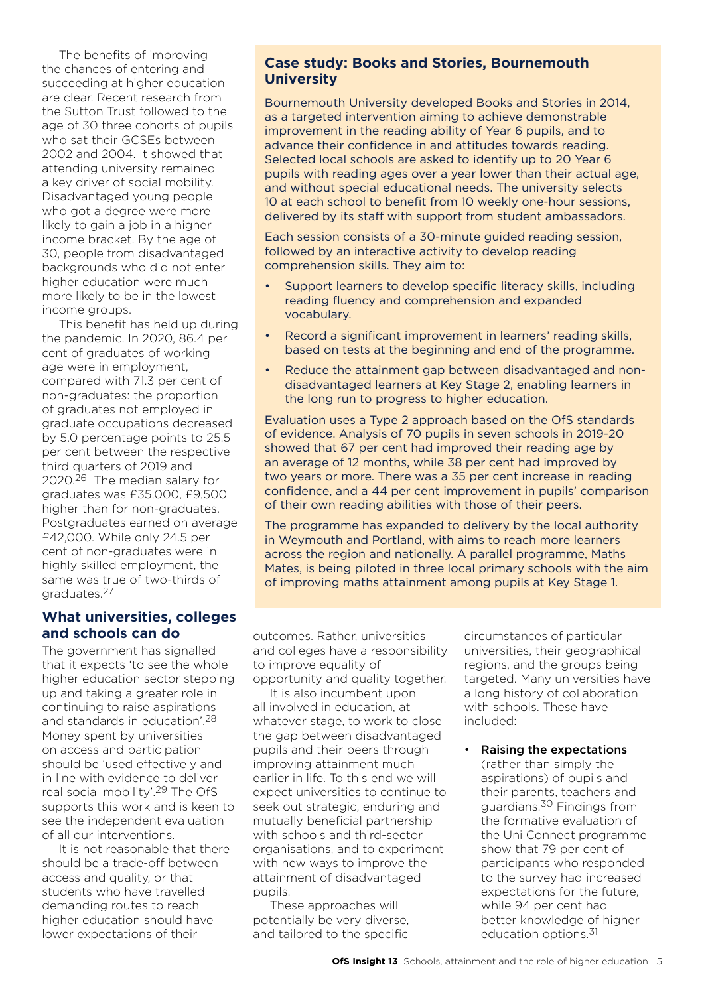The benefits of improving the chances of entering and succeeding at higher education are clear. Recent research from the Sutton Trust followed to the age of 30 three cohorts of pupils who sat their GCSEs between 2002 and 2004. It showed that attending university remained a key driver of social mobility. Disadvantaged young people who got a degree were more likely to gain a job in a higher income bracket. By the age of 30, people from disadvantaged backgrounds who did not enter higher education were much more likely to be in the lowest income groups.

This benefit has held up during the pandemic. In 2020, 86.4 per cent of graduates of working age were in employment, compared with 71.3 per cent of non-graduates: the proportion of graduates not employed in graduate occupations decreased by 5.0 percentage points to 25.5 per cent between the respective third quarters of 2019 and 2020.26 The median salary for graduates was £35,000, £9,500 higher than for non-graduates. Postgraduates earned on average £42,000. While only 24.5 per cent of non-graduates were in highly skilled employment, the same was true of two-thirds of graduates.27

#### **What universities, colleges and schools can do**

The government has signalled that it expects 'to see the whole higher education sector stepping up and taking a greater role in continuing to raise aspirations and standards in education'.28 Money spent by universities on access and participation should be 'used effectively and in line with evidence to deliver real social mobility'.29 The OfS supports this work and is keen to see the independent evaluation of all our interventions.

It is not reasonable that there should be a trade-off between access and quality, or that students who have travelled demanding routes to reach higher education should have lower expectations of their

#### **Case study: Books and Stories, Bournemouth University**

Bournemouth University developed Books and Stories in 2014, as a targeted intervention aiming to achieve demonstrable improvement in the reading ability of Year 6 pupils, and to advance their confidence in and attitudes towards reading. Selected local schools are asked to identify up to 20 Year 6 pupils with reading ages over a year lower than their actual age, and without special educational needs. The university selects 10 at each school to benefit from 10 weekly one-hour sessions, delivered by its staff with support from student ambassadors.

Each session consists of a 30-minute guided reading session, followed by an interactive activity to develop reading comprehension skills. They aim to:

- Support learners to develop specific literacy skills, including reading fluency and comprehension and expanded vocabulary.
- Record a significant improvement in learners' reading skills, based on tests at the beginning and end of the programme.
- Reduce the attainment gap between disadvantaged and nondisadvantaged learners at Key Stage 2, enabling learners in the long run to progress to higher education.

Evaluation uses a Type 2 approach based on the OfS standards of evidence. Analysis of 70 pupils in seven schools in 2019-20 showed that 67 per cent had improved their reading age by an average of 12 months, while 38 per cent had improved by two years or more. There was a 35 per cent increase in reading confidence, and a 44 per cent improvement in pupils' comparison of their own reading abilities with those of their peers.

The programme has expanded to delivery by the local authority in Weymouth and Portland, with aims to reach more learners across the region and nationally. A parallel programme, Maths Mates, is being piloted in three local primary schools with the aim of improving maths attainment among pupils at Key Stage 1.

outcomes. Rather, universities and colleges have a responsibility to improve equality of opportunity and quality together.

It is also incumbent upon all involved in education, at whatever stage, to work to close the gap between disadvantaged pupils and their peers through improving attainment much earlier in life. To this end we will expect universities to continue to seek out strategic, enduring and mutually beneficial partnership with schools and third-sector organisations, and to experiment with new ways to improve the attainment of disadvantaged pupils.

These approaches will potentially be very diverse, and tailored to the specific circumstances of particular universities, their geographical regions, and the groups being targeted. Many universities have a long history of collaboration with schools. These have included:

• Raising the expectations (rather than simply the aspirations) of pupils and their parents, teachers and guardians.30 Findings from the formative evaluation of the Uni Connect programme show that 79 per cent of participants who responded to the survey had increased expectations for the future, while 94 per cent had better knowledge of higher education options.<sup>31</sup>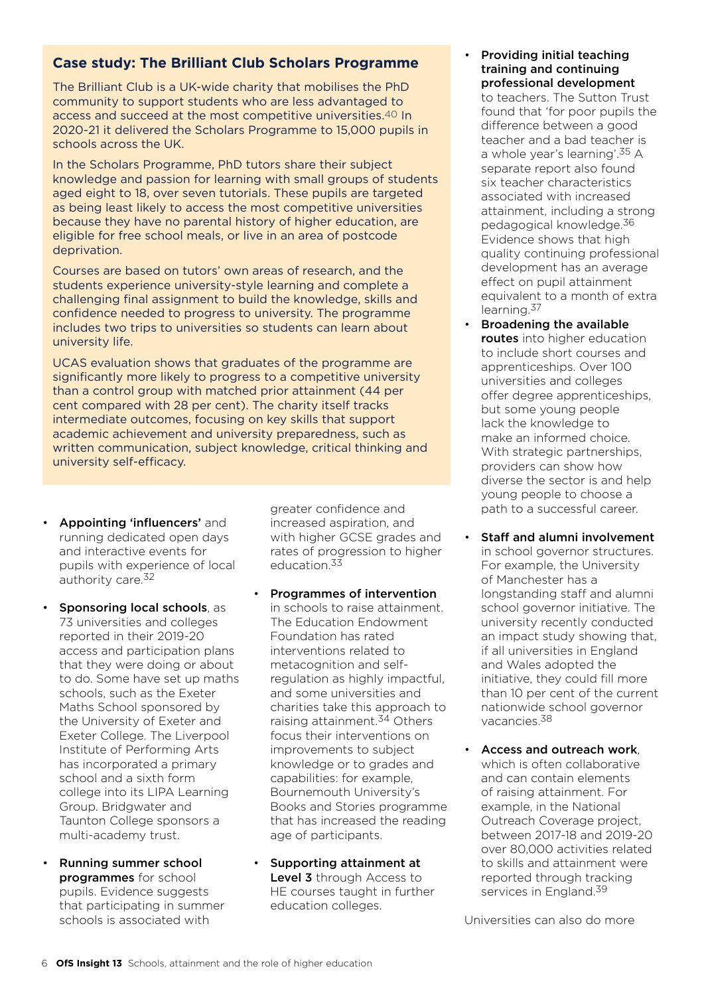## **Case study: The Brilliant Club Scholars Programme**

The Brilliant Club is a UK-wide charity that mobilises the PhD community to support students who are less advantaged to access and succeed at the most competitive universities.40 In 2020-21 it delivered the Scholars Programme to 15,000 pupils in schools across the UK.

In the Scholars Programme, PhD tutors share their subject knowledge and passion for learning with small groups of students aged eight to 18, over seven tutorials. These pupils are targeted as being least likely to access the most competitive universities because they have no parental history of higher education, are eligible for free school meals, or live in an area of postcode deprivation.

Courses are based on tutors' own areas of research, and the students experience university-style learning and complete a challenging final assignment to build the knowledge, skills and confidence needed to progress to university. The programme includes two trips to universities so students can learn about university life.

UCAS evaluation shows that graduates of the programme are significantly more likely to progress to a competitive university than a control group with matched prior attainment (44 per cent compared with 28 per cent). The charity itself tracks intermediate outcomes, focusing on key skills that support academic achievement and university preparedness, such as written communication, subject knowledge, critical thinking and university self-efficacy.

- Appointing 'influencers' and running dedicated open days and interactive events for pupils with experience of local authority care.32
- Sponsoring local schools, as 73 universities and colleges reported in their 2019-20 access and participation plans that they were doing or about to do. Some have set up maths schools, such as the Exeter Maths School sponsored by the University of Exeter and Exeter College. The Liverpool Institute of Performing Arts has incorporated a primary school and a sixth form college into its LIPA Learning Group. Bridgwater and Taunton College sponsors a multi-academy trust.
- Running summer school programmes for school pupils. Evidence suggests that participating in summer schools is associated with

greater confidence and increased aspiration, and with higher GCSE grades and rates of progression to higher education.<sup>33</sup>

- Programmes of intervention in schools to raise attainment. The Education Endowment Foundation has rated interventions related to metacognition and selfregulation as highly impactful, and some universities and charities take this approach to raising attainment.<sup>34</sup> Others focus their interventions on improvements to subject knowledge or to grades and capabilities: for example, Bournemouth University's Books and Stories programme that has increased the reading age of participants.
- Supporting attainment at Level 3 through Access to HE courses taught in further education colleges.

• Providing initial teaching training and continuing professional development

to teachers. The Sutton Trust found that 'for poor pupils the difference between a good teacher and a bad teacher is a whole year's learning'.35 A separate report also found six teacher characteristics associated with increased attainment, including a strong pedagogical knowledge.36 Evidence shows that high quality continuing professional development has an average effect on pupil attainment equivalent to a month of extra learning.<sup>37</sup>

- Broadening the available routes into higher education to include short courses and apprenticeships. Over 100 universities and colleges offer degree apprenticeships, but some young people lack the knowledge to make an informed choice. With strategic partnerships, providers can show how diverse the sector is and help young people to choose a path to a successful career.
- Staff and alumni involvement in school governor structures. For example, the University of Manchester has a longstanding staff and alumni school governor initiative. The university recently conducted an impact study showing that, if all universities in England and Wales adopted the initiative, they could fill more than 10 per cent of the current nationwide school governor vacancies.38
- Access and outreach work, which is often collaborative and can contain elements of raising attainment. For example, in the National Outreach Coverage project, between 2017-18 and 2019-20 over 80,000 activities related to skills and attainment were reported through tracking services in England.<sup>39</sup>

Universities can also do more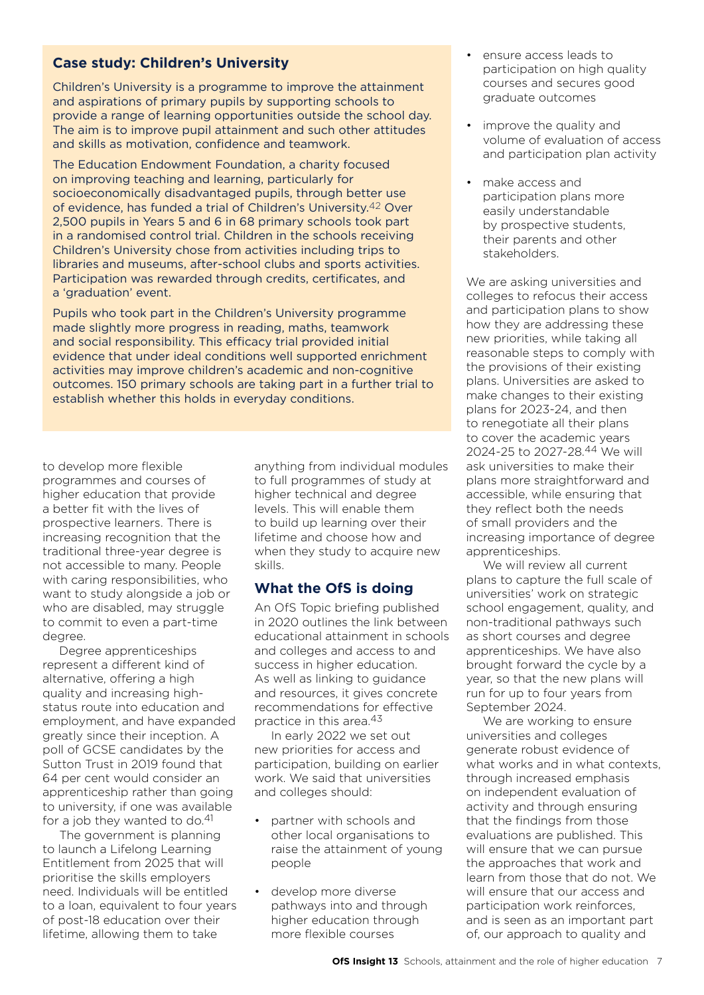## **Case study: Children's University**

Children's University is a programme to improve the attainment and aspirations of primary pupils by supporting schools to provide a range of learning opportunities outside the school day. The aim is to improve pupil attainment and such other attitudes and skills as motivation, confidence and teamwork.

The Education Endowment Foundation, a charity focused on improving teaching and learning, particularly for socioeconomically disadvantaged pupils, through better use of evidence, has funded a trial of Children's University.42 Over 2,500 pupils in Years 5 and 6 in 68 primary schools took part in a randomised control trial. Children in the schools receiving Children's University chose from activities including trips to libraries and museums, after-school clubs and sports activities. Participation was rewarded through credits, certificates, and a 'graduation' event.

Pupils who took part in the Children's University programme made slightly more progress in reading, maths, teamwork and social responsibility. This efficacy trial provided initial evidence that under ideal conditions well supported enrichment activities may improve children's academic and non-cognitive outcomes. 150 primary schools are taking part in a further trial to establish whether this holds in everyday conditions.

to develop more flexible programmes and courses of higher education that provide a better fit with the lives of prospective learners. There is increasing recognition that the traditional three-year degree is not accessible to many. People with caring responsibilities, who want to study alongside a job or who are disabled, may struggle to commit to even a part-time degree.

Degree apprenticeships represent a different kind of alternative, offering a high quality and increasing highstatus route into education and employment, and have expanded greatly since their inception. A poll of GCSE candidates by the Sutton Trust in 2019 found that 64 per cent would consider an apprenticeship rather than going to university, if one was available for a job they wanted to do.<sup>41</sup>

The government is planning to launch a Lifelong Learning Entitlement from 2025 that will prioritise the skills employers need. Individuals will be entitled to a loan, equivalent to four years of post-18 education over their lifetime, allowing them to take

anything from individual modules to full programmes of study at higher technical and degree levels. This will enable them to build up learning over their lifetime and choose how and when they study to acquire new skills.

## **What the OfS is doing**

An OfS Topic briefing published in 2020 outlines the link between educational attainment in schools and colleges and access to and success in higher education. As well as linking to guidance and resources, it gives concrete recommendations for effective practice in this area.43

In early 2022 we set out new priorities for access and participation, building on earlier work. We said that universities and colleges should:

- partner with schools and other local organisations to raise the attainment of young people
- develop more diverse pathways into and through higher education through more flexible courses
- ensure access leads to participation on high quality courses and secures good graduate outcomes
- improve the quality and volume of evaluation of access and participation plan activity
- make access and participation plans more easily understandable by prospective students, their parents and other stakeholders.

We are asking universities and colleges to refocus their access and participation plans to show how they are addressing these new priorities, while taking all reasonable steps to comply with the provisions of their existing plans. Universities are asked to make changes to their existing plans for 2023-24, and then to renegotiate all their plans to cover the academic years 2024-25 to 2027-28.44 We will ask universities to make their plans more straightforward and accessible, while ensuring that they reflect both the needs of small providers and the increasing importance of degree apprenticeships.

We will review all current plans to capture the full scale of universities' work on strategic school engagement, quality, and non-traditional pathways such as short courses and degree apprenticeships. We have also brought forward the cycle by a year, so that the new plans will run for up to four years from September 2024.

We are working to ensure universities and colleges generate robust evidence of what works and in what contexts, through increased emphasis on independent evaluation of activity and through ensuring that the findings from those evaluations are published. This will ensure that we can pursue the approaches that work and learn from those that do not. We will ensure that our access and participation work reinforces, and is seen as an important part of, our approach to quality and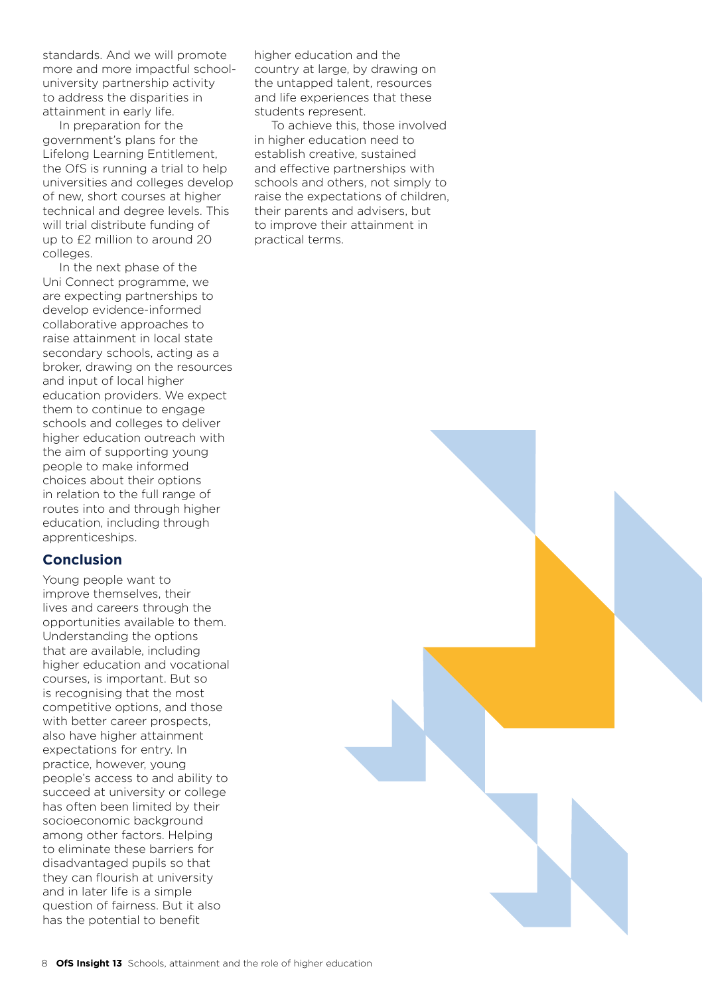standards. And we will promote more and more impactful schooluniversity partnership activity to address the disparities in attainment in early life.

In preparation for the government's plans for the Lifelong Learning Entitlement, the OfS is running a trial to help universities and colleges develop of new, short courses at higher technical and degree levels. This will trial distribute funding of up to £2 million to around 20 colleges.

In the next phase of the Uni Connect programme, we are expecting partnerships to develop evidence-informed collaborative approaches to raise attainment in local state secondary schools, acting as a broker, drawing on the resources and input of local higher education providers. We expect them to continue to engage schools and colleges to deliver higher education outreach with the aim of supporting young people to make informed choices about their options in relation to the full range of routes into and through higher education, including through apprenticeships.

#### **Conclusion**

Young people want to improve themselves, their lives and careers through the opportunities available to them. Understanding the options that are available, including higher education and vocational courses, is important. But so is recognising that the most competitive options, and those with better career prospects, also have higher attainment expectations for entry. In practice, however, young people's access to and ability to succeed at university or college has often been limited by their socioeconomic background among other factors. Helping to eliminate these barriers for disadvantaged pupils so that they can flourish at university and in later life is a simple question of fairness. But it also has the potential to benefit

higher education and the country at large, by drawing on the untapped talent, resources and life experiences that these students represent.

To achieve this, those involved in higher education need to establish creative, sustained and effective partnerships with schools and others, not simply to raise the expectations of children, their parents and advisers, but to improve their attainment in practical terms.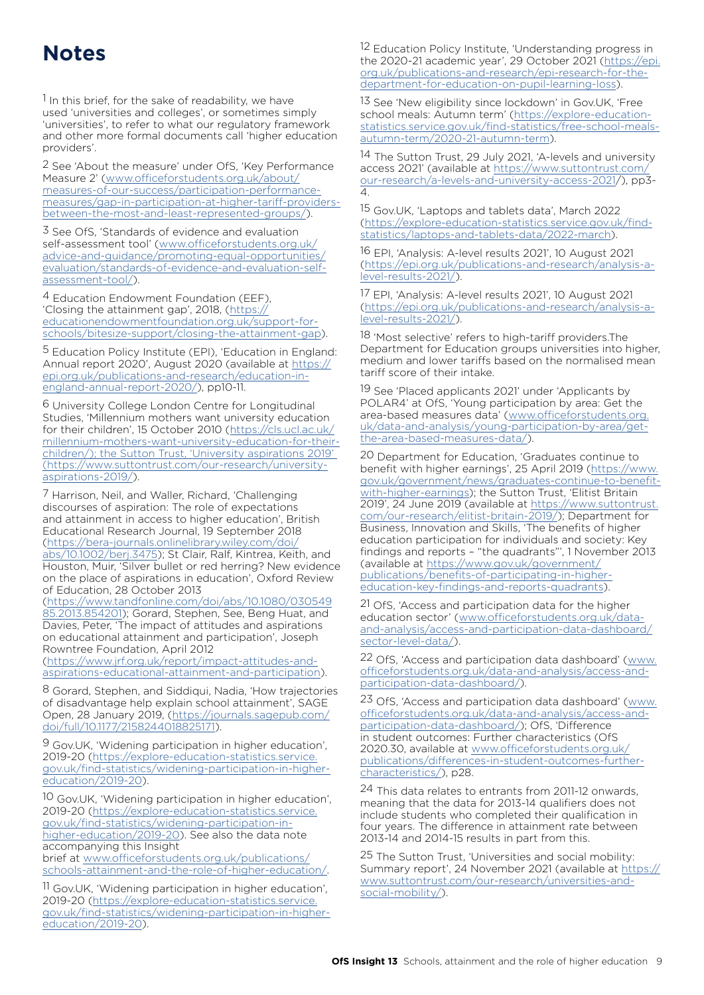## **Notes**

1 In this brief, for the sake of readability, we have used 'universities and colleges', or sometimes simply 'universities', to refer to what our regulatory framework and other more formal documents call 'higher education providers'.

2 See 'About the measure' under OfS, 'Key Performance Measure 2' ([www.officeforstudents.org.uk/about/](https://www.officeforstudents.org.uk/about/measures-of-our-success/participation-performance-measures/gap-in-participation-at-higher-tariff-providers-between-the-most-and-least-represented-groups/) [measures-of-our-success/participation-performance](https://www.officeforstudents.org.uk/about/measures-of-our-success/participation-performance-measures/gap-in-participation-at-higher-tariff-providers-between-the-most-and-least-represented-groups/)[measures/gap-in-participation-at-higher-tariff-providers](https://www.officeforstudents.org.uk/about/measures-of-our-success/participation-performance-measures/gap-in-participation-at-higher-tariff-providers-between-the-most-and-least-represented-groups/)[between-the-most-and-least-represented-groups/](https://www.officeforstudents.org.uk/about/measures-of-our-success/participation-performance-measures/gap-in-participation-at-higher-tariff-providers-between-the-most-and-least-represented-groups/)).

3 See OfS, 'Standards of evidence and evaluation self-assessment tool' ([www.officeforstudents.org.uk/](https://www.officeforstudents.org.uk/advice-and-guidance/promoting-equal-opportunities/evaluation/standards-of-evidence-and-evaluation-self-assessment-tool/) [advice-and-guidance/promoting-equal-opportunities/](https://www.officeforstudents.org.uk/advice-and-guidance/promoting-equal-opportunities/evaluation/standards-of-evidence-and-evaluation-self-assessment-tool/) [evaluation/standards-of-evidence-and-evaluation-self](https://www.officeforstudents.org.uk/advice-and-guidance/promoting-equal-opportunities/evaluation/standards-of-evidence-and-evaluation-self-assessment-tool/)[assessment-tool/](https://www.officeforstudents.org.uk/advice-and-guidance/promoting-equal-opportunities/evaluation/standards-of-evidence-and-evaluation-self-assessment-tool/)).

4 Education Endowment Foundation (EEF), 'Closing the attainment gap', 2018, ([https://](https://educationendowmentfoundation.org.uk/support-for-schools/bitesize-support/closing-the-attainm) [educationendowmentfoundation.org.uk/support-for](https://educationendowmentfoundation.org.uk/support-for-schools/bitesize-support/closing-the-attainm)[schools/bitesize-support/closing-the-attainment-gap](https://educationendowmentfoundation.org.uk/support-for-schools/bitesize-support/closing-the-attainm)).

5 Education Policy Institute (EPI), 'Education in England: Annual report 2020', August 2020 (available at [https://](https://epi.org.uk/publications-and-research/education-in-england-annual-report-2020/) [epi.org.uk/publications-and-research/education-in](https://epi.org.uk/publications-and-research/education-in-england-annual-report-2020/)[england-annual-report-2020/](https://epi.org.uk/publications-and-research/education-in-england-annual-report-2020/)), pp10-11.

6 University College London Centre for Longitudinal Studies, 'Millennium mothers want university education for their children', 15 October 2010 ([https://cls.ucl.ac.uk/](https://cls.ucl.ac.uk/millennium-mothers-want-university-education-for-their-children/);%20the%20Sutton%20Trust,%20%E2%80%98University%20aspirations%202019%E2%80%99%20(https:/www.suttontrust.com/our-research/university-aspirations-2019/) [millennium-mothers-want-university-education-for-their](https://cls.ucl.ac.uk/millennium-mothers-want-university-education-for-their-children/);%20the%20Sutton%20Trust,%20%E2%80%98University%20aspirations%202019%E2%80%99%20(https:/www.suttontrust.com/our-research/university-aspirations-2019/)[children/\); the Sutton Trust, 'University aspirations 2019'](https://cls.ucl.ac.uk/millennium-mothers-want-university-education-for-their-children/);%20the%20Sutton%20Trust,%20%E2%80%98University%20aspirations%202019%E2%80%99%20(https:/www.suttontrust.com/our-research/university-aspirations-2019/)  [\(https://www.suttontrust.com/our-research/university](https://cls.ucl.ac.uk/millennium-mothers-want-university-education-for-their-children/);%20the%20Sutton%20Trust,%20%E2%80%98University%20aspirations%202019%E2%80%99%20(https:/www.suttontrust.com/our-research/university-aspirations-2019/)[aspirations-2019/](https://cls.ucl.ac.uk/millennium-mothers-want-university-education-for-their-children/);%20the%20Sutton%20Trust,%20%E2%80%98University%20aspirations%202019%E2%80%99%20(https:/www.suttontrust.com/our-research/university-aspirations-2019/)).

7 Harrison, Neil, and Waller, Richard, 'Challenging discourses of aspiration: The role of expectations and attainment in access to higher education', British Educational Research Journal, 19 September 2018 ([https://bera-journals.onlinelibrary.wiley.com/doi/](https://bera-journals.onlinelibrary.wiley.com/doi/abs/10.1002/berj.3475) [abs/10.1002/berj.3475](https://bera-journals.onlinelibrary.wiley.com/doi/abs/10.1002/berj.3475)); St Clair, Ralf, Kintrea, Keith, and Houston, Muir, 'Silver bullet or red herring? New evidence on the place of aspirations in education', Oxford Review of Education, 28 October 2013

([https://www.tandfonline.com/doi/abs/10.1080/030549](https://www.tandfonline.com/doi/abs/10.1080/03054985.2013.854201) [85.2013.854201](https://www.tandfonline.com/doi/abs/10.1080/03054985.2013.854201)); Gorard, Stephen, See, Beng Huat, and Davies, Peter, 'The impact of attitudes and aspirations on educational attainment and participation', Joseph Rowntree Foundation, April 2012

([https://www.jrf.org.uk/report/impact-attitudes-and](https://www.jrf.org.uk/report/impact-attitudes-and-aspirations-educational-attainment-and-participation)[aspirations-educational-attainment-and-participation\)](https://www.jrf.org.uk/report/impact-attitudes-and-aspirations-educational-attainment-and-participation).

8 Gorard, Stephen, and Siddiqui, Nadia, 'How trajectories of disadvantage help explain school attainment', SAGE Open, 28 January 2019, ([https://journals.sagepub.com/](https://journals.sagepub.com/doi/full/10.1177/2158244018825171) [doi/full/10.1177/2158244018825171](https://journals.sagepub.com/doi/full/10.1177/2158244018825171)).

9 Gov.UK, 'Widening participation in higher education', 2019-20 ([https://explore-education-statistics.service.](https://explore-education-statistics.service.gov.uk/find-statistics/widening-participation-in-higher-education/2019-20) [gov.uk/find-statistics/widening-participation-in-higher](https://explore-education-statistics.service.gov.uk/find-statistics/widening-participation-in-higher-education/2019-20)[education/2019-20](https://explore-education-statistics.service.gov.uk/find-statistics/widening-participation-in-higher-education/2019-20)).

10 Gov.UK, 'Widening participation in higher education', 2019-20 ([https://explore-education-statistics.service.](https://explore-education-statistics.service.gov.uk/find-statistics/widening-participation-in-higher-education/2019-20) [gov.uk/find-statistics/widening-participation-in](https://explore-education-statistics.service.gov.uk/find-statistics/widening-participation-in-higher-education/2019-20)[higher-education/2019-20](https://explore-education-statistics.service.gov.uk/find-statistics/widening-participation-in-higher-education/2019-20)). See also the data note accompanying this Insight

brief at [www.officeforstudents.org.uk/publications/](https://www.officeforstudents.org.uk/publications/schools-attainment-and-the-role-of-higher-education/) [schools-attainment-and-the-role-of-higher-education/](https://www.officeforstudents.org.uk/publications/schools-attainment-and-the-role-of-higher-education/).

11 Gov.UK, 'Widening participation in higher education', 2019-20 ([https://explore-education-statistics.service.](https://explore-education-statistics.service.gov.uk/find-statistics/widening-participation-in-higher-education/2019-20) [gov.uk/find-statistics/widening-participation-in-higher](https://explore-education-statistics.service.gov.uk/find-statistics/widening-participation-in-higher-education/2019-20)[education/2019-20](https://explore-education-statistics.service.gov.uk/find-statistics/widening-participation-in-higher-education/2019-20)).

12 Education Policy Institute, 'Understanding progress in the 2020-21 academic year', 29 October 2021 ([https://epi.](https://epi.org.uk/publications-and-research/epi-research-for-the-department-for-education-on-pupil-learning-loss/) [org.uk/publications-and-research/epi-research-for-the](https://epi.org.uk/publications-and-research/epi-research-for-the-department-for-education-on-pupil-learning-loss/)[department-for-education-on-pupil-learning-loss](https://epi.org.uk/publications-and-research/epi-research-for-the-department-for-education-on-pupil-learning-loss/)).

13 See 'New eligibility since lockdown' in Gov.UK, 'Free school meals: Autumn term' ([https://explore-education](https://explore-education-statistics.service.gov.uk/find-statistics/free-school-meals-autumn-term/2020-21-autumn-term)[statistics.service.gov.uk/find-statistics/free-school-meals](https://explore-education-statistics.service.gov.uk/find-statistics/free-school-meals-autumn-term/2020-21-autumn-term)[autumn-term/2020-21-autumn-term](https://explore-education-statistics.service.gov.uk/find-statistics/free-school-meals-autumn-term/2020-21-autumn-term)).

14 The Sutton Trust, 29 July 2021, 'A-levels and university access 2021' (available at [https://www.suttontrust.com/](https://www.suttontrust.com/our-research/a-levels-and-university-access-2021) [our-research/a-levels-and-university-access-2021/](https://www.suttontrust.com/our-research/a-levels-and-university-access-2021)), pp3- 4.

15 Gov.UK, 'Laptops and tablets data', March 2022 ([https://explore-education-statistics.service.gov.uk/find](https://explore-education-statistics.service.gov.uk/find-statistics/laptops-and-tablets-data/2022-march)[statistics/laptops-and-tablets-data/2022-march](https://explore-education-statistics.service.gov.uk/find-statistics/laptops-and-tablets-data/2022-march)).

16 EPI, 'Analysis: A-level results 2021', 10 August 2021 ([https://epi.org.uk/publications-and-research/analysis-a](https://epi.org.uk/publications-and-research/analysis-a-level-results-2021/)[level-results-2021/](https://epi.org.uk/publications-and-research/analysis-a-level-results-2021/)).

17 EPI, 'Analysis: A-level results 2021', 10 August 2021 ([https://epi.org.uk/publications-and-research/analysis-a](https://epi.org.uk/publications-and-research/analysis-a-level-results-2021/)[level-results-2021/](https://epi.org.uk/publications-and-research/analysis-a-level-results-2021/)).

18 'Most selective' refers to high-tariff providers.The Department for Education groups universities into higher, medium and lower tariffs based on the normalised mean tariff score of their intake.

19 See 'Placed applicants 2021' under 'Applicants by POLAR4' at OfS, 'Young participation by area: Get the area-based measures data' ([www.officeforstudents.org.](https://www.officeforstudents.org.uk/data-and-analysis/young-participation-by-area/get-the-area-based-measures-data/) [uk/data-and-analysis/young-participation-by-area/get](https://www.officeforstudents.org.uk/data-and-analysis/young-participation-by-area/get-the-area-based-measures-data/)[the-area-based-measures-data/](https://www.officeforstudents.org.uk/data-and-analysis/young-participation-by-area/get-the-area-based-measures-data/)).

20 Department for Education, 'Graduates continue to benefit with higher earnings', 25 April 2019 ([https://www.](https://www.gov.uk/government/news/graduates-continue-to-benefit-with-higher-earnings) [gov.uk/government/news/graduates-continue-to-benefit](https://www.gov.uk/government/news/graduates-continue-to-benefit-with-higher-earnings)[with-higher-earnings](https://www.gov.uk/government/news/graduates-continue-to-benefit-with-higher-earnings)); the Sutton Trust, 'Elitist Britain 2019', 24 June 2019 (available at [https://www.suttontrust.](https://www.suttontrust.com/our-research/elitist-britain-2019/) [com/our-research/elitist-britain-2019/\)](https://www.suttontrust.com/our-research/elitist-britain-2019/); Department for Business, Innovation and Skills, 'The benefits of higher education participation for individuals and society: Key findings and reports – "the quadrants"', 1 November 2013 (available at [https://www.gov.uk/government/](https://www.gov.uk/government/publications/benefits-of-participating-in-higher-education-key-findings-and-reports-quadrants) [publications/benefits-of-participating-in-higher](https://www.gov.uk/government/publications/benefits-of-participating-in-higher-education-key-findings-and-reports-quadrants)[education-key-findings-and-reports-quadrants](https://www.gov.uk/government/publications/benefits-of-participating-in-higher-education-key-findings-and-reports-quadrants)).

21 OfS, 'Access and participation data for the higher education sector' ([www.officeforstudents.org.uk/data](https://www.officeforstudents.org.uk/data-and-analysis/access-and-participation-data-dashboard/sector-level-data/)[and-analysis/access-and-participation-data-dashboard/](https://www.officeforstudents.org.uk/data-and-analysis/access-and-participation-data-dashboard/sector-level-data/) [sector-level-data/](https://www.officeforstudents.org.uk/data-and-analysis/access-and-participation-data-dashboard/sector-level-data/)).

22 OfS, 'Access and participation data dashboard' [\(www.](https://www.officeforstudents.org.uk/data-and-analysis/access-and-participation-data-dashboard/) [officeforstudents.org.uk/data-and-analysis/access-and](https://www.officeforstudents.org.uk/data-and-analysis/access-and-participation-data-dashboard/)[participation-data-dashboard/](https://www.officeforstudents.org.uk/data-and-analysis/access-and-participation-data-dashboard/)).

23 OfS, 'Access and participation data dashboard' [\(www.](https://www.officeforstudents.org.uk/data-and-analysis/access-and-participation-data-dashboard/) [officeforstudents.org.uk/data-and-analysis/access-and](https://www.officeforstudents.org.uk/data-and-analysis/access-and-participation-data-dashboard/)[participation-data-dashboard/\)](https://www.officeforstudents.org.uk/data-and-analysis/access-and-participation-data-dashboard/); OfS, 'Difference in student outcomes: Further characteristics (OfS 2020.30, available at [www.officeforstudents.org.uk/](https://www.officeforstudents.org.uk/publications/differences-in-student-outcomes-further-characteristics/) [publications/differences-in-student-outcomes-further](https://www.officeforstudents.org.uk/publications/differences-in-student-outcomes-further-characteristics/)[characteristics/](https://www.officeforstudents.org.uk/publications/differences-in-student-outcomes-further-characteristics/)), p28.

24 This data relates to entrants from 2011-12 onwards, meaning that the data for 2013-14 qualifiers does not include students who completed their qualification in four years. The difference in attainment rate between 2013-14 and 2014-15 results in part from this.

25 The Sutton Trust, 'Universities and social mobility: Summary report', 24 November 2021 (available at [https://](https://www.suttontrust.com/our-research/universities-and-social-mobility/) [www.suttontrust.com/our-research/universities-and](https://www.suttontrust.com/our-research/universities-and-social-mobility/)[social-mobility/](https://www.suttontrust.com/our-research/universities-and-social-mobility/)).